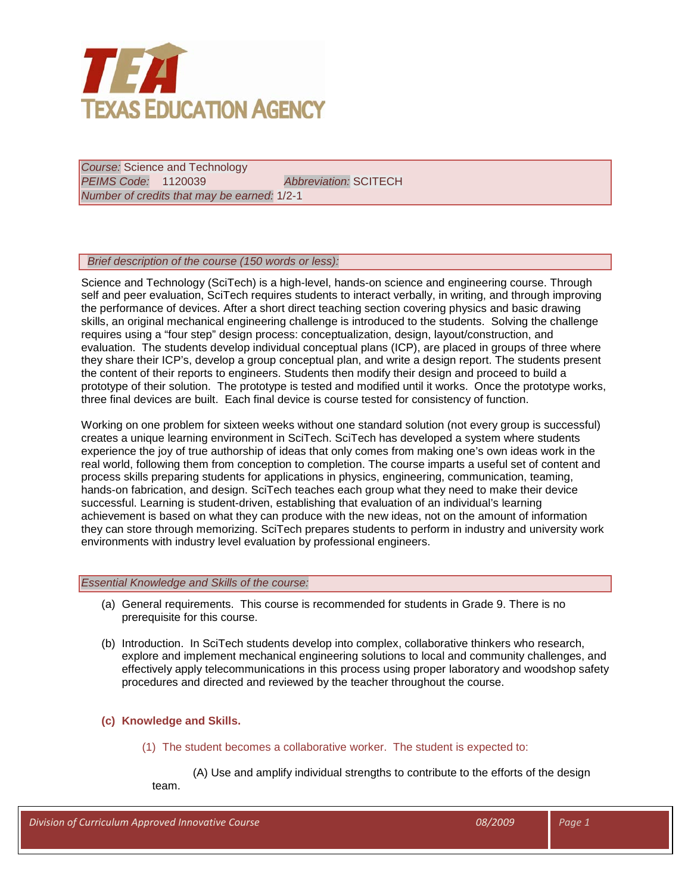

*Course:* Science and Technology *PEIMS Code:* 1120039 *Abbreviation:* SCITECH *Number of credits that may be earned:* 1/2-1

# *Brief description of the course (150 words or less):*

Science and Technology (SciTech) is a high-level, hands-on science and engineering course. Through self and peer evaluation, SciTech requires students to interact verbally, in writing, and through improving the performance of devices. After a short direct teaching section covering physics and basic drawing skills, an original mechanical engineering challenge is introduced to the students. Solving the challenge requires using a "four step" design process: conceptualization, design, layout/construction, and evaluation. The students develop individual conceptual plans (ICP), are placed in groups of three where they share their ICP's, develop a group conceptual plan, and write a design report. The students present the content of their reports to engineers. Students then modify their design and proceed to build a prototype of their solution. The prototype is tested and modified until it works. Once the prototype works, three final devices are built. Each final device is course tested for consistency of function.

Working on one problem for sixteen weeks without one standard solution (not every group is successful) creates a unique learning environment in SciTech. SciTech has developed a system where students experience the joy of true authorship of ideas that only comes from making one's own ideas work in the real world, following them from conception to completion. The course imparts a useful set of content and process skills preparing students for applications in physics, engineering, communication, teaming, hands-on fabrication, and design. SciTech teaches each group what they need to make their device successful. Learning is student-driven, establishing that evaluation of an individual's learning achievement is based on what they can produce with the new ideas, not on the amount of information they can store through memorizing. SciTech prepares students to perform in industry and university work environments with industry level evaluation by professional engineers.

### *Essential Knowledge and Skills of the course:*

- (a) General requirements. This course is recommended for students in Grade 9. There is no prerequisite for this course.
- (b) Introduction. In SciTech students develop into complex, collaborative thinkers who research, explore and implement mechanical engineering solutions to local and community challenges, and effectively apply telecommunications in this process using proper laboratory and woodshop safety procedures and directed and reviewed by the teacher throughout the course.

# **(c) Knowledge and Skills.**

(1) The student becomes a collaborative worker. The student is expected to:

(A) Use and amplify individual strengths to contribute to the efforts of the design team.

| Division of Curriculum Approved Innovative Course | 08/2009 | Page 1 |
|---------------------------------------------------|---------|--------|
|                                                   |         |        |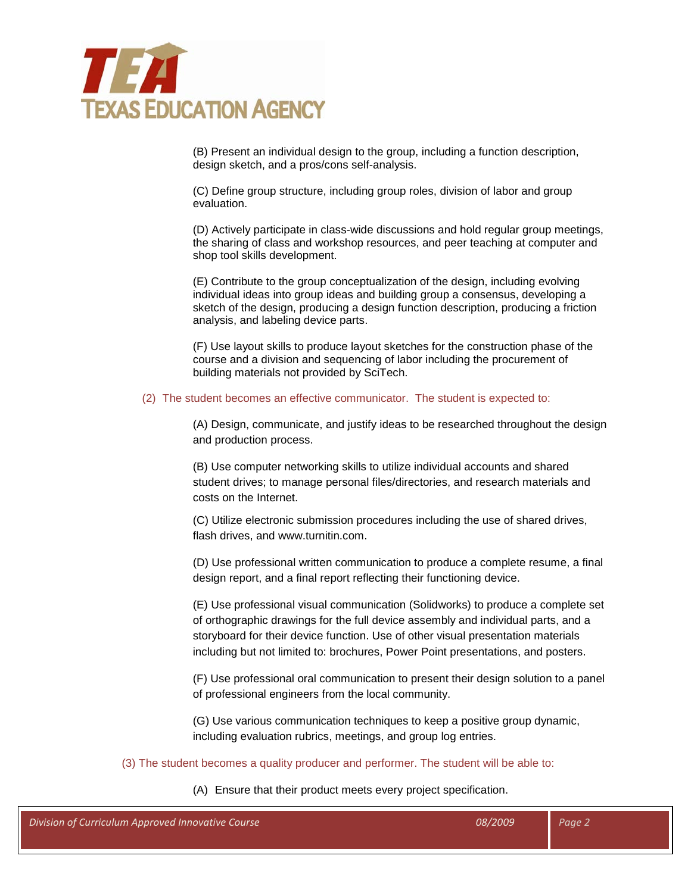

(B) Present an individual design to the group, including a function description, design sketch, and a pros/cons self-analysis.

(C) Define group structure, including group roles, division of labor and group evaluation.

(D) Actively participate in class-wide discussions and hold regular group meetings, the sharing of class and workshop resources, and peer teaching at computer and shop tool skills development.

(E) Contribute to the group conceptualization of the design, including evolving individual ideas into group ideas and building group a consensus, developing a sketch of the design, producing a design function description, producing a friction analysis, and labeling device parts.

(F) Use layout skills to produce layout sketches for the construction phase of the course and a division and sequencing of labor including the procurement of building materials not provided by SciTech.

#### (2) The student becomes an effective communicator. The student is expected to:

(A) Design, communicate, and justify ideas to be researched throughout the design and production process.

(B) Use computer networking skills to utilize individual accounts and shared student drives; to manage personal files/directories, and research materials and costs on the Internet.

(C) Utilize electronic submission procedures including the use of shared drives, flash drives, and www.turnitin.com.

(D) Use professional written communication to produce a complete resume, a final design report, and a final report reflecting their functioning device.

(E) Use professional visual communication (Solidworks) to produce a complete set of orthographic drawings for the full device assembly and individual parts, and a storyboard for their device function. Use of other visual presentation materials including but not limited to: brochures, Power Point presentations, and posters.

(F) Use professional oral communication to present their design solution to a panel of professional engineers from the local community.

(G) Use various communication techniques to keep a positive group dynamic, including evaluation rubrics, meetings, and group log entries.

# (3) The student becomes a quality producer and performer. The student will be able to:

#### (A) Ensure that their product meets every project specification.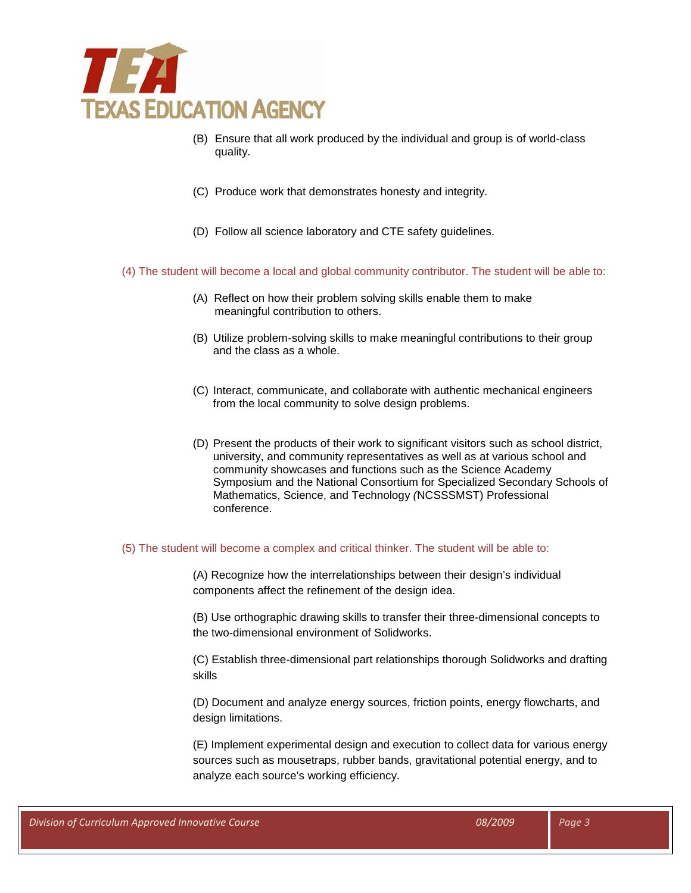

- (B) Ensure that all work produced by the individual and group is of world-class quality.
- (C) Produce work that demonstrates honesty and integrity.
- (D) Follow all science laboratory and CTE safety guidelines.
- (4) The student will become a local and global community contributor. The student will be able to:
	- (A) Reflect on how their problem solving skills enable them to make meaningful contribution to others.
	- (B) Utilize problem-solving skills to make meaningful contributions to their group and the class as a whole.
	- (C) Interact, communicate, and collaborate with authentic mechanical engineers from the local community to solve design problems.
	- (D) Present the products of their work to significant visitors such as school district, university, and community representatives as well as at various school and community showcases and functions such as the Science Academy Symposium and the National Consortium for Specialized Secondary Schools of Mathematics, Science, and Technology *(*NCSSSMST) Professional conference.

# (5) The student will become a complex and critical thinker. The student will be able to:

(A) Recognize how the interrelationships between their design's individual components affect the refinement of the design idea.

(B) Use orthographic drawing skills to transfer their three-dimensional concepts to the two-dimensional environment of Solidworks.

(C) Establish three-dimensional part relationships thorough Solidworks and drafting skills

(D) Document and analyze energy sources, friction points, energy flowcharts, and design limitations.

(E) Implement experimental design and execution to collect data for various energy sources such as mousetraps, rubber bands, gravitational potential energy, and to analyze each source's working efficiency.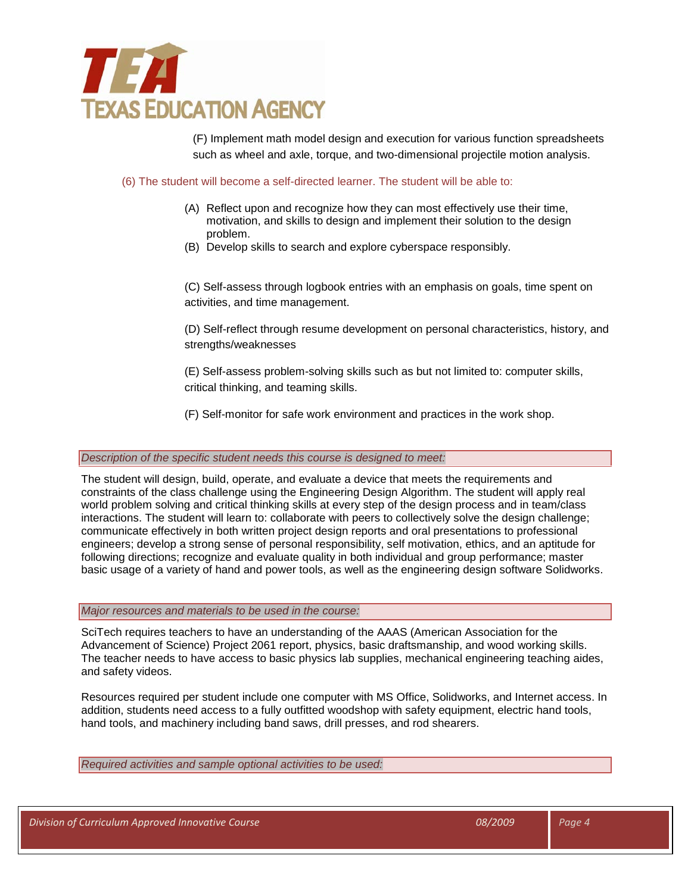

(F) Implement math model design and execution for various function spreadsheets such as wheel and axle, torque, and two-dimensional projectile motion analysis.

### (6) The student will become a self-directed learner. The student will be able to:

- (A) Reflect upon and recognize how they can most effectively use their time, motivation, and skills to design and implement their solution to the design problem.
- (B) Develop skills to search and explore cyberspace responsibly.

(C) Self-assess through logbook entries with an emphasis on goals, time spent on activities, and time management.

(D) Self-reflect through resume development on personal characteristics, history, and strengths/weaknesses

(E) Self-assess problem-solving skills such as but not limited to: computer skills, critical thinking, and teaming skills.

(F) Self-monitor for safe work environment and practices in the work shop.

### *Description of the specific student needs this course is designed to meet:*

The student will design, build, operate, and evaluate a device that meets the requirements and constraints of the class challenge using the Engineering Design Algorithm. The student will apply real world problem solving and critical thinking skills at every step of the design process and in team/class interactions. The student will learn to: collaborate with peers to collectively solve the design challenge; communicate effectively in both written project design reports and oral presentations to professional engineers; develop a strong sense of personal responsibility, self motivation, ethics, and an aptitude for following directions; recognize and evaluate quality in both individual and group performance; master basic usage of a variety of hand and power tools, as well as the engineering design software Solidworks.

### *Major resources and materials to be used in the course:*

SciTech requires teachers to have an understanding of the AAAS (American Association for the Advancement of Science) Project 2061 report, physics, basic draftsmanship, and wood working skills. The teacher needs to have access to basic physics lab supplies, mechanical engineering teaching aides, and safety videos.

Resources required per student include one computer with MS Office, Solidworks, and Internet access. In addition, students need access to a fully outfitted woodshop with safety equipment, electric hand tools, hand tools, and machinery including band saws, drill presses, and rod shearers.

*Required activities and sample optional activities to be used:*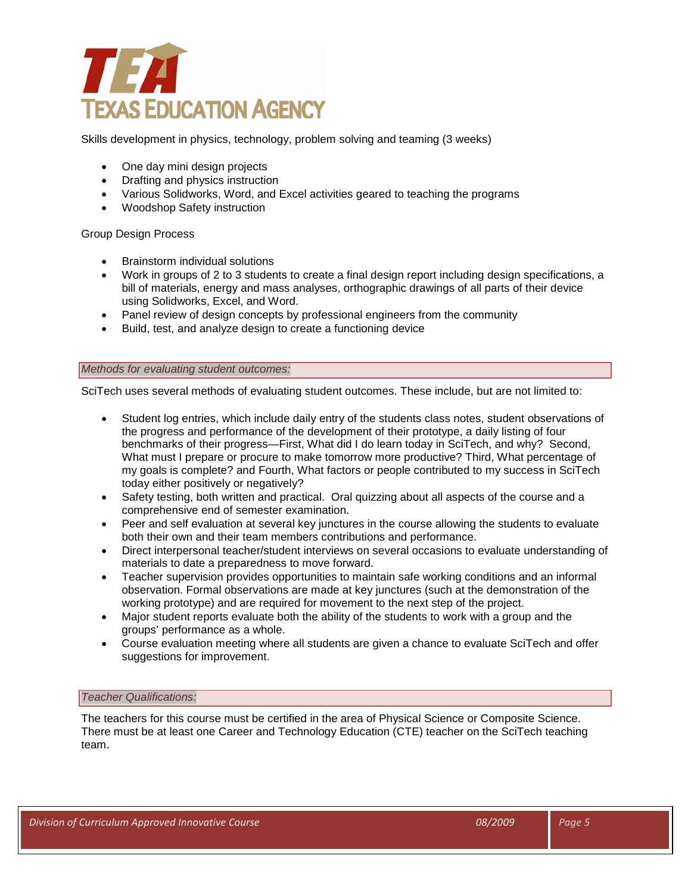

Skills development in physics, technology, problem solving and teaming (3 weeks)

- One day mini design projects
- Drafting and physics instruction
- Various Solidworks, Word, and Excel activities geared to teaching the programs
- Woodshop Safety instruction

Group Design Process

- Brainstorm individual solutions
- Work in groups of 2 to 3 students to create a final design report including design specifications, a bill of materials, energy and mass analyses, orthographic drawings of all parts of their device using Solidworks, Excel, and Word.
- Panel review of design concepts by professional engineers from the community
- Build, test, and analyze design to create a functioning device

# *Methods for evaluating student outcomes:*

SciTech uses several methods of evaluating student outcomes. These include, but are not limited to:

- Student log entries, which include daily entry of the students class notes, student observations of the progress and performance of the development of their prototype, a daily listing of four benchmarks of their progress—First, What did I do learn today in SciTech, and why? Second, What must I prepare or procure to make tomorrow more productive? Third, What percentage of my goals is complete? and Fourth, What factors or people contributed to my success in SciTech today either positively or negatively?
- Safety testing, both written and practical. Oral quizzing about all aspects of the course and a comprehensive end of semester examination.
- Peer and self evaluation at several key junctures in the course allowing the students to evaluate both their own and their team members contributions and performance.
- Direct interpersonal teacher/student interviews on several occasions to evaluate understanding of materials to date a preparedness to move forward.
- Teacher supervision provides opportunities to maintain safe working conditions and an informal observation. Formal observations are made at key junctures (such at the demonstration of the working prototype) and are required for movement to the next step of the project.
- Major student reports evaluate both the ability of the students to work with a group and the groups' performance as a whole.
- Course evaluation meeting where all students are given a chance to evaluate SciTech and offer suggestions for improvement.

### *Teacher Qualifications:*

The teachers for this course must be certified in the area of Physical Science or Composite Science. There must be at least one Career and Technology Education (CTE) teacher on the SciTech teaching team.